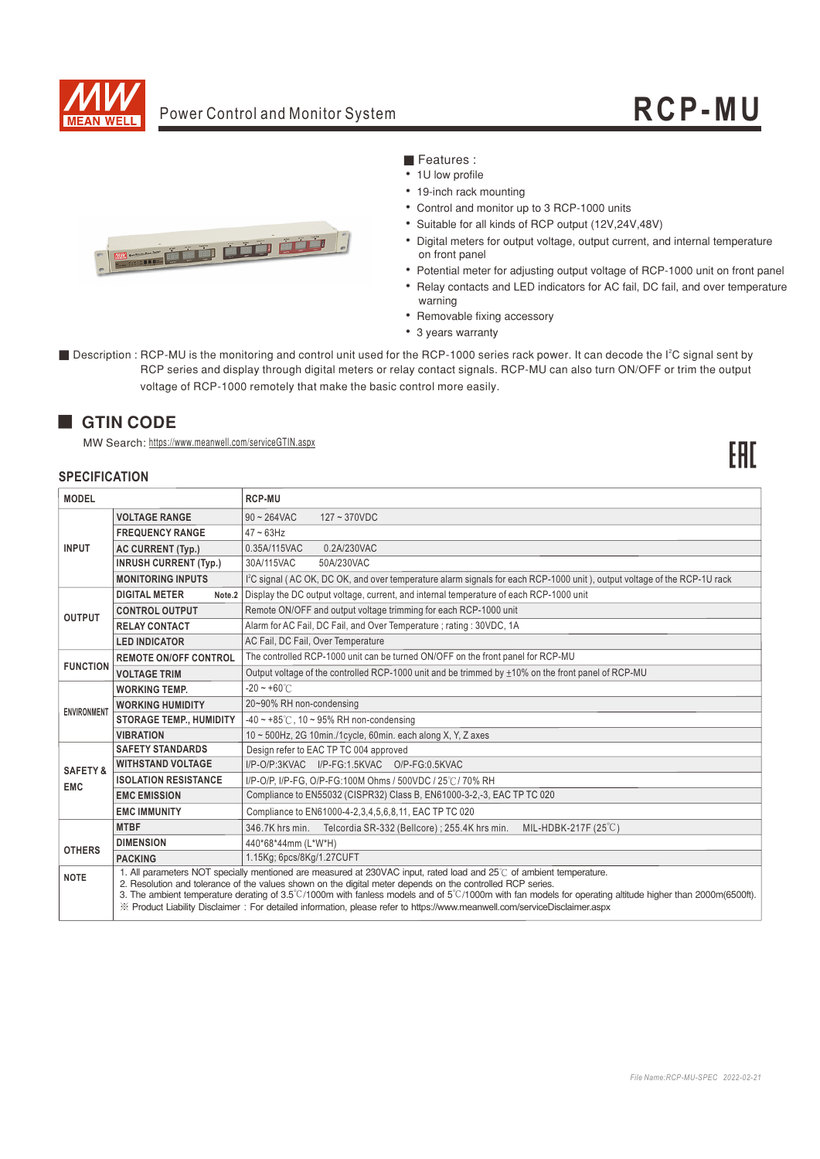

# Power Control and Monitor System **RCP - MU**

FRT



# ■ Features :

- 1U low profile
- 19-inch rack mounting
- Control and monitor up to 3 RCP-1000 units
- Suitable for all kinds of RCP output (12V.24V.48V)
- Digital meters for output voltage, output current, and internal temperature on front panel
- Potential meter for adjusting output voltage of RCP-1000 unit on front panel
- Relay contacts and LED indicators for AC fail, DC fail, and over temperature warning
- Removable fixing accessory
- 3 years warranty
- Description : RCP-MU is the monitoring and control unit used for the RCP-1000 series rack power. It can decode the l<sup>2</sup>C signal sent by RCP series and display through digital meters or relay contact signals. RCP-MU can also turn ON/OFF or trim the output voltage of RCP-1000 remotely that make the basic control more easily.

# **GTIN CODE**

MW Search: https://www.meanwell.com/serviceGTIN.aspx

### **SPECIFICATION**

| <b>MODEL</b>        |                                | <b>RCP-MU</b>                                                                                                                                                                                                                                                                                                                                                                                                                                                                                                                                   |
|---------------------|--------------------------------|-------------------------------------------------------------------------------------------------------------------------------------------------------------------------------------------------------------------------------------------------------------------------------------------------------------------------------------------------------------------------------------------------------------------------------------------------------------------------------------------------------------------------------------------------|
|                     | <b>VOLTAGE RANGE</b>           | $90 - 264$ VAC<br>$127 - 370$ VDC                                                                                                                                                                                                                                                                                                                                                                                                                                                                                                               |
|                     | <b>FREQUENCY RANGE</b>         | $47 \sim 63$ Hz                                                                                                                                                                                                                                                                                                                                                                                                                                                                                                                                 |
| <b>INPUT</b>        | AC CURRENT (Typ.)              | 0.35A/115VAC<br>0.2A/230VAC                                                                                                                                                                                                                                                                                                                                                                                                                                                                                                                     |
|                     | <b>INRUSH CURRENT (Typ.)</b>   | 30A/115VAC<br>50A/230VAC                                                                                                                                                                                                                                                                                                                                                                                                                                                                                                                        |
|                     | <b>MONITORING INPUTS</b>       | l <sup>2</sup> C signal (AC OK, DC OK, and over temperature alarm signals for each RCP-1000 unit), output voltage of the RCP-1U rack                                                                                                                                                                                                                                                                                                                                                                                                            |
|                     | <b>DIGITAL METER</b><br>Note.2 | Display the DC output voltage, current, and internal temperature of each RCP-1000 unit                                                                                                                                                                                                                                                                                                                                                                                                                                                          |
| <b>OUTPUT</b>       | <b>CONTROL OUTPUT</b>          | Remote ON/OFF and output voltage trimming for each RCP-1000 unit                                                                                                                                                                                                                                                                                                                                                                                                                                                                                |
|                     | <b>RELAY CONTACT</b>           | Alarm for AC Fail, DC Fail, and Over Temperature ; rating : 30VDC, 1A                                                                                                                                                                                                                                                                                                                                                                                                                                                                           |
|                     | <b>LED INDICATOR</b>           | AC Fail, DC Fail, Over Temperature                                                                                                                                                                                                                                                                                                                                                                                                                                                                                                              |
| <b>FUNCTION</b>     | <b>REMOTE ON/OFF CONTROL</b>   | The controlled RCP-1000 unit can be turned ON/OFF on the front panel for RCP-MU                                                                                                                                                                                                                                                                                                                                                                                                                                                                 |
|                     | <b>VOLTAGE TRIM</b>            | Output voltage of the controlled RCP-1000 unit and be trimmed by $\pm$ 10% on the front panel of RCP-MU                                                                                                                                                                                                                                                                                                                                                                                                                                         |
|                     | <b>WORKING TEMP.</b>           | $-20 - +60^{\circ}$                                                                                                                                                                                                                                                                                                                                                                                                                                                                                                                             |
| <b>ENVIRONMENT</b>  | <b>WORKING HUMIDITY</b>        | 20~90% RH non-condensing                                                                                                                                                                                                                                                                                                                                                                                                                                                                                                                        |
|                     | <b>STORAGE TEMP., HUMIDITY</b> | $-40 \sim +85^{\circ}$ C, 10 ~ 95% RH non-condensing                                                                                                                                                                                                                                                                                                                                                                                                                                                                                            |
|                     | <b>VIBRATION</b>               | 10 ~ 500Hz, 2G 10min./1cycle, 60min. each along X, Y, Z axes                                                                                                                                                                                                                                                                                                                                                                                                                                                                                    |
|                     | <b>SAFETY STANDARDS</b>        | Design refer to EAC TP TC 004 approved                                                                                                                                                                                                                                                                                                                                                                                                                                                                                                          |
| <b>SAFETY &amp;</b> | <b>WITHSTAND VOLTAGE</b>       | I/P-O/P:3KVAC I/P-FG:1.5KVAC O/P-FG:0.5KVAC                                                                                                                                                                                                                                                                                                                                                                                                                                                                                                     |
| <b>EMC</b>          | <b>ISOLATION RESISTANCE</b>    | I/P-O/P, I/P-FG, O/P-FG:100M Ohms / 500VDC / 25°C / 70% RH                                                                                                                                                                                                                                                                                                                                                                                                                                                                                      |
|                     | <b>EMC EMISSION</b>            | Compliance to EN55032 (CISPR32) Class B, EN61000-3-2,-3, EAC TP TC 020                                                                                                                                                                                                                                                                                                                                                                                                                                                                          |
|                     | <b>EMC IMMUNITY</b>            | Compliance to EN61000-4-2, 3, 4, 5, 6, 8, 11, EAC TP TC 020                                                                                                                                                                                                                                                                                                                                                                                                                                                                                     |
|                     | <b>MTBF</b>                    | MIL-HDBK-217F (25°C)<br>346.7K hrs min. Telcordia SR-332 (Bellcore) : 255.4K hrs min.                                                                                                                                                                                                                                                                                                                                                                                                                                                           |
| <b>OTHERS</b>       | <b>DIMENSION</b>               | 440*68*44mm (L*W*H)                                                                                                                                                                                                                                                                                                                                                                                                                                                                                                                             |
|                     | <b>PACKING</b>                 | 1.15Kg; 6pcs/8Kg/1.27CUFT                                                                                                                                                                                                                                                                                                                                                                                                                                                                                                                       |
| <b>NOTE</b>         |                                | 1. All parameters NOT specially mentioned are measured at 230VAC input, rated load and 25°C of ambient temperature.<br>2. Resolution and tolerance of the values shown on the digital meter depends on the controlled RCP series.<br>3. The ambient temperature derating of $3.5^{\circ}$ C/1000m with fanless models and of $5^{\circ}$ C/1000m with fan models for operating altitude higher than 2000m(6500ft).<br>X Product Liability Disclaimer: For detailed information, please refer to https://www.meanwell.com/serviceDisclaimer.aspx |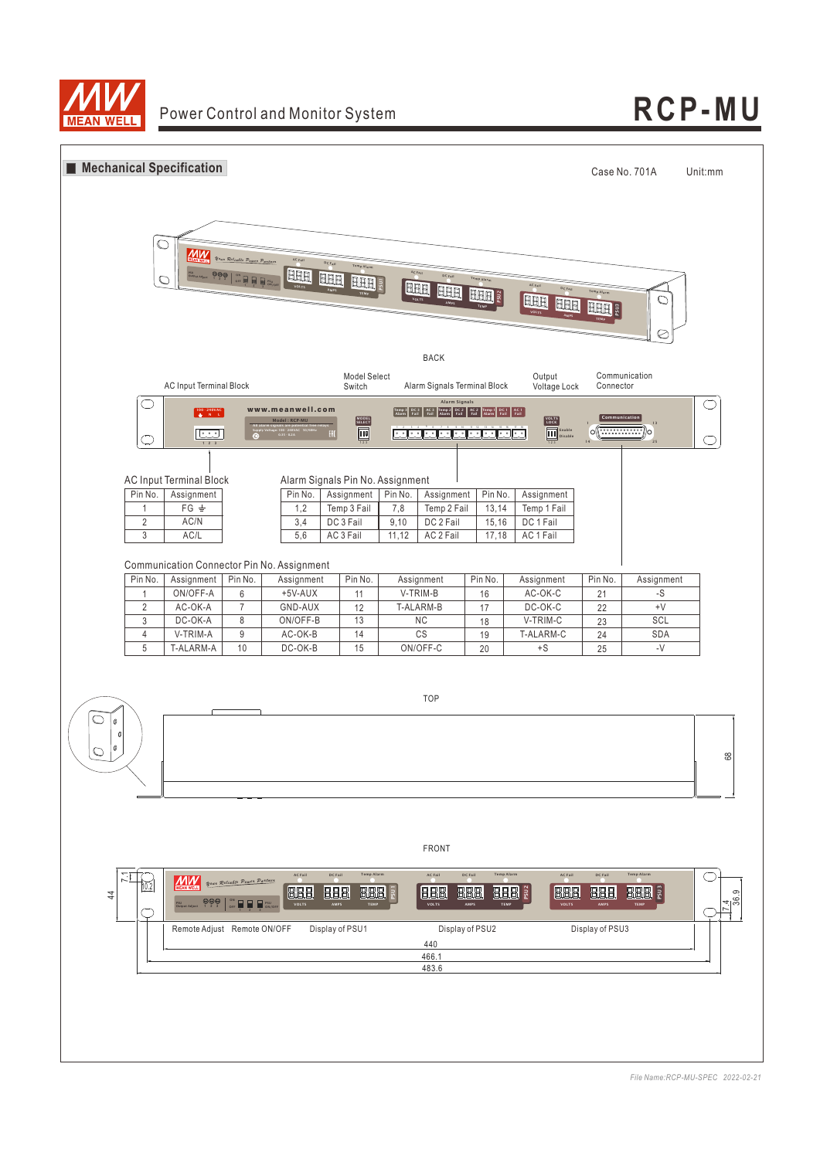